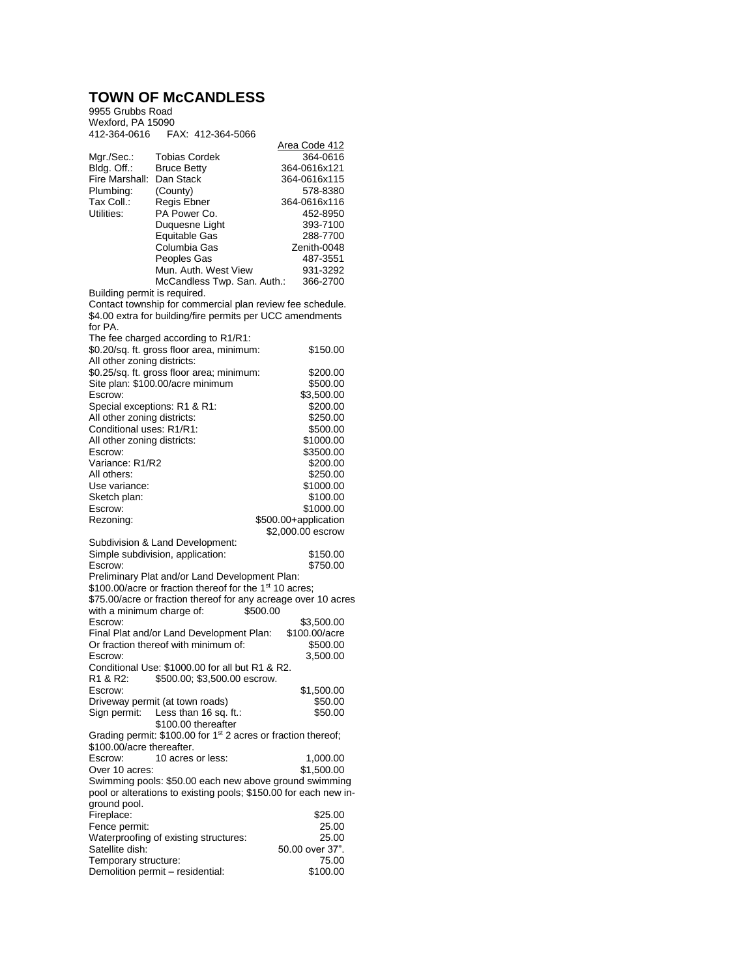## **TOWN OF McCANDLESS**

9955 Grubbs Road Wexford, PA 15090 412-364-0616 FAX: 412-364-5066

|                                  |                                                                           | Area Code 412                                                    |
|----------------------------------|---------------------------------------------------------------------------|------------------------------------------------------------------|
| Mgr./Sec.:                       | <b>Tobias Cordek</b>                                                      | 364-0616                                                         |
| Bldg. Off.:                      | <b>Bruce Betty</b>                                                        | 364-0616x121                                                     |
| Fire Marshall:                   | Dan Stack                                                                 | 364-0616x115                                                     |
| Plumbing:                        | (County)                                                                  | 578-8380                                                         |
| Tax Coll.:                       | Regis Ebner                                                               | 364-0616x116                                                     |
| Utilities:                       | PA Power Co.                                                              | 452-8950                                                         |
|                                  | Duquesne Light<br><b>Equitable Gas</b>                                    | 393-7100                                                         |
|                                  | Columbia Gas                                                              | 288-7700<br>Zenith-0048                                          |
|                                  | Peoples Gas                                                               | 487-3551                                                         |
|                                  | Mun. Auth. West View                                                      | 931-3292                                                         |
| Building permit is required.     | McCandless Twp. San. Auth.:                                               | 366-2700                                                         |
|                                  |                                                                           | Contact township for commercial plan review fee schedule.        |
|                                  | \$4.00 extra for building/fire permits per UCC amendments                 |                                                                  |
| for PA.                          |                                                                           |                                                                  |
|                                  | The fee charged according to R1/R1:                                       |                                                                  |
|                                  | \$0.20/sq. ft. gross floor area, minimum:                                 | \$150.00                                                         |
| All other zoning districts:      |                                                                           |                                                                  |
|                                  | \$0.25/sq. ft. gross floor area; minimum:                                 | \$200.00                                                         |
| Site plan: \$100.00/acre minimum | \$500.00                                                                  |                                                                  |
| Escrow:                          | \$3,500.00                                                                |                                                                  |
| Special exceptions: R1 & R1:     |                                                                           | \$200.00                                                         |
| All other zoning districts:      |                                                                           | \$250.00                                                         |
| Conditional uses: R1/R1:         |                                                                           | \$500.00                                                         |
| All other zoning districts:      |                                                                           | \$1000.00                                                        |
| Escrow:                          |                                                                           | \$3500.00                                                        |
| Variance: R1/R2                  |                                                                           | \$200.00                                                         |
| All others:                      |                                                                           | \$250.00                                                         |
| Use variance:                    |                                                                           | \$1000.00                                                        |
| Sketch plan:                     |                                                                           | \$100.00                                                         |
| Escrow:                          |                                                                           | \$1000.00                                                        |
|                                  |                                                                           |                                                                  |
| Rezoning:                        |                                                                           | \$500.00+application                                             |
|                                  |                                                                           | \$2,000.00 escrow                                                |
|                                  | Subdivision & Land Development:                                           |                                                                  |
|                                  | Simple subdivision, application:                                          | \$150.00                                                         |
| Escrow:                          |                                                                           | \$750.00                                                         |
|                                  | Preliminary Plat and/or Land Development Plan:                            |                                                                  |
|                                  | \$100.00/acre or fraction thereof for the 1 <sup>st</sup> 10 acres;       |                                                                  |
|                                  |                                                                           | \$75.00/acre or fraction thereof for any acreage over 10 acres   |
| with a minimum charge of:        |                                                                           | \$500.00                                                         |
| Escrow:                          |                                                                           | \$3,500.00                                                       |
|                                  | Final Plat and/or Land Development Plan:                                  | \$100.00/acre                                                    |
|                                  | Or fraction thereof with minimum of:                                      | \$500.00                                                         |
| Escrow:                          | Conditional Use: \$1000.00 for all but R1 & R2.                           | 3,500.00                                                         |
| R1 & R2:                         | \$500.00; \$3,500.00 escrow.                                              |                                                                  |
| Fscrow:                          |                                                                           |                                                                  |
|                                  | Driveway permit (at town roads)                                           | \$1,500.00<br>\$50.00                                            |
| Sign permit:                     | Less than 16 sq. ft.:                                                     | \$50.00                                                          |
|                                  | \$100.00 thereafter                                                       |                                                                  |
|                                  | Grading permit: \$100.00 for 1 <sup>st</sup> 2 acres or fraction thereof; |                                                                  |
| \$100.00/acre thereafter.        |                                                                           |                                                                  |
| Escrow:                          | 10 acres or less:                                                         | 1,000.00                                                         |
| Over 10 acres:                   |                                                                           | \$1,500.00                                                       |
|                                  |                                                                           | Swimming pools: \$50.00 each new above ground swimming           |
|                                  |                                                                           | pool or alterations to existing pools; \$150.00 for each new in- |
| ground pool.                     |                                                                           |                                                                  |
| Fireplace:                       |                                                                           | \$25.00                                                          |
| Fence permit:                    |                                                                           | 25.00                                                            |
|                                  | Waterproofing of existing structures:                                     | 25.00                                                            |
| Satellite dish:                  |                                                                           | 50.00 over 37".                                                  |
| Temporary structure:             | Demolition permit - residential:                                          | 75.00<br>\$100.00                                                |